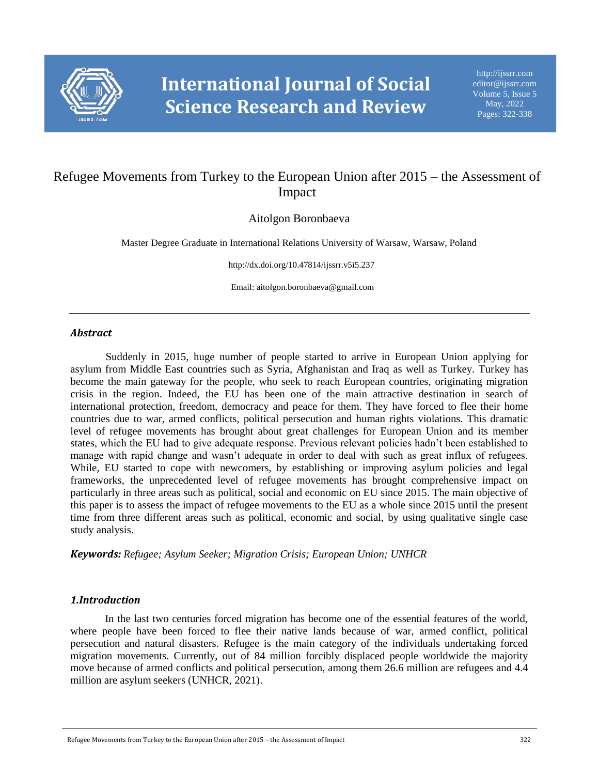

# Refugee Movements from Turkey to the European Union after 2015 – the Assessment of Impact

Aitolgon Boronbaeva

Master Degree Graduate in International Relations University of Warsaw, Warsaw, Poland

http://dx.doi.org/10.47814/ijssrr.v5i5.237

Email: aitolgon.boronbaeva@gmail.com

#### *Abstract*

Suddenly in 2015, huge number of people started to arrive in European Union applying for asylum from Middle East countries such as Syria, Afghanistan and Iraq as well as Turkey. Turkey has become the main gateway for the people, who seek to reach European countries, originating migration crisis in the region. Indeed, the EU has been one of the main attractive destination in search of international protection, freedom, democracy and peace for them. They have forced to flee their home countries due to war, armed conflicts, political persecution and human rights violations. This dramatic level of refugee movements has brought about great challenges for European Union and its member states, which the EU had to give adequate response. Previous relevant policies hadn't been established to manage with rapid change and wasn't adequate in order to deal with such as great influx of refugees. While, EU started to cope with newcomers, by establishing or improving asylum policies and legal frameworks, the unprecedented level of refugee movements has brought comprehensive impact on particularly in three areas such as political, social and economic on EU since 2015. The main objective of this paper is to assess the impact of refugee movements to the EU as a whole since 2015 until the present time from three different areas such as political, economic and social, by using qualitative single case study analysis.

*Keywords: Refugee; Asylum Seeker; Migration Crisis; European Union; UNHCR*

#### *1.Introduction*

In the last two centuries forced migration has become one of the essential features of the world, where people have been forced to flee their native lands because of war, armed conflict, political persecution and natural disasters. Refugee is the main category of the individuals undertaking forced migration movements. Currently, out of 84 million forcibly displaced people worldwide the majority move because of armed conflicts and political persecution, among them 26.6 million are refugees and 4.4 million are asylum seekers (UNHCR, 2021).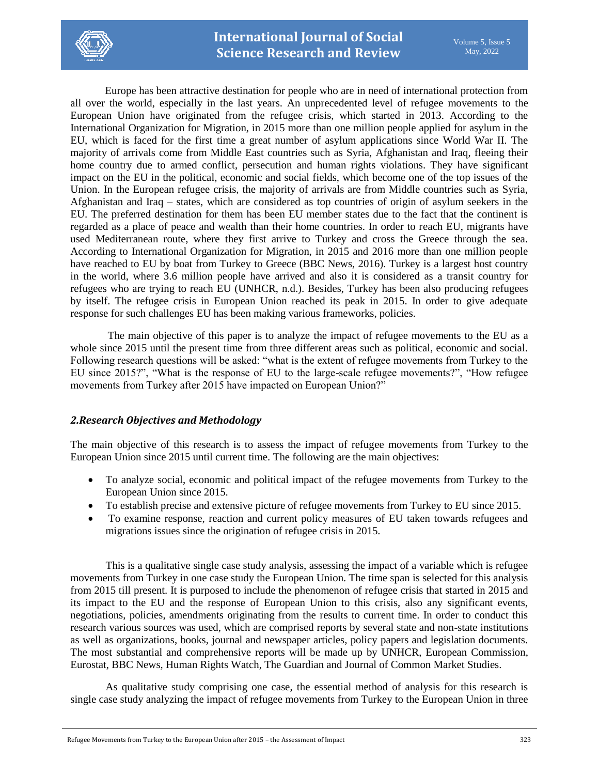

Europe has been attractive destination for people who are in need of international protection from all over the world, especially in the last years. An unprecedented level of refugee movements to the European Union have originated from the refugee crisis, which started in 2013. According to the International Organization for Migration, in 2015 more than one million people applied for asylum in the EU, which is faced for the first time a great number of asylum applications since World War II. The majority of arrivals come from Middle East countries such as Syria, Afghanistan and Iraq, fleeing their home country due to armed conflict, persecution and human rights violations. They have significant impact on the EU in the political, economic and social fields, which become one of the top issues of the Union. In the European refugee crisis, the majority of arrivals are from Middle countries such as Syria, Afghanistan and Iraq – states, which are considered as top countries of origin of asylum seekers in the EU. The preferred destination for them has been EU member states due to the fact that the continent is regarded as a place of peace and wealth than their home countries. In order to reach EU, migrants have used Mediterranean route, where they first arrive to Turkey and cross the Greece through the sea. According to International Organization for Migration, in 2015 and 2016 more than one million people have reached to EU by boat from Turkey to Greece (BBC News, 2016). Turkey is a largest host country in the world, where 3.6 million people have arrived and also it is considered as a transit country for refugees who are trying to reach EU (UNHCR, n.d.). Besides, Turkey has been also producing refugees by itself. The refugee crisis in European Union reached its peak in 2015. In order to give adequate response for such challenges EU has been making various frameworks, policies.

The main objective of this paper is to analyze the impact of refugee movements to the EU as a whole since 2015 until the present time from three different areas such as political, economic and social. Following research questions will be asked: "what is the extent of refugee movements from Turkey to the EU since 2015?", "What is the response of EU to the large-scale refugee movements?", "How refugee movements from Turkey after 2015 have impacted on European Union?"

## *2.Research Objectives and Methodology*

The main objective of this research is to assess the impact of refugee movements from Turkey to the European Union since 2015 until current time. The following are the main objectives:

- To analyze social, economic and political impact of the refugee movements from Turkey to the European Union since 2015.
- To establish precise and extensive picture of refugee movements from Turkey to EU since 2015.
- To examine response, reaction and current policy measures of EU taken towards refugees and migrations issues since the origination of refugee crisis in 2015.

This is a qualitative single case study analysis, assessing the impact of a variable which is refugee movements from Turkey in one case study the European Union. The time span is selected for this analysis from 2015 till present. It is purposed to include the phenomenon of refugee crisis that started in 2015 and its impact to the EU and the response of European Union to this crisis, also any significant events, negotiations, policies, amendments originating from the results to current time. In order to conduct this research various sources was used, which are comprised reports by several state and non-state institutions as well as organizations, books, journal and newspaper articles, policy papers and legislation documents. The most substantial and comprehensive reports will be made up by UNHCR, European Commission, Eurostat, BBC News, Human Rights Watch, The Guardian and Journal of Common Market Studies.

As qualitative study comprising one case, the essential method of analysis for this research is single case study analyzing the impact of refugee movements from Turkey to the European Union in three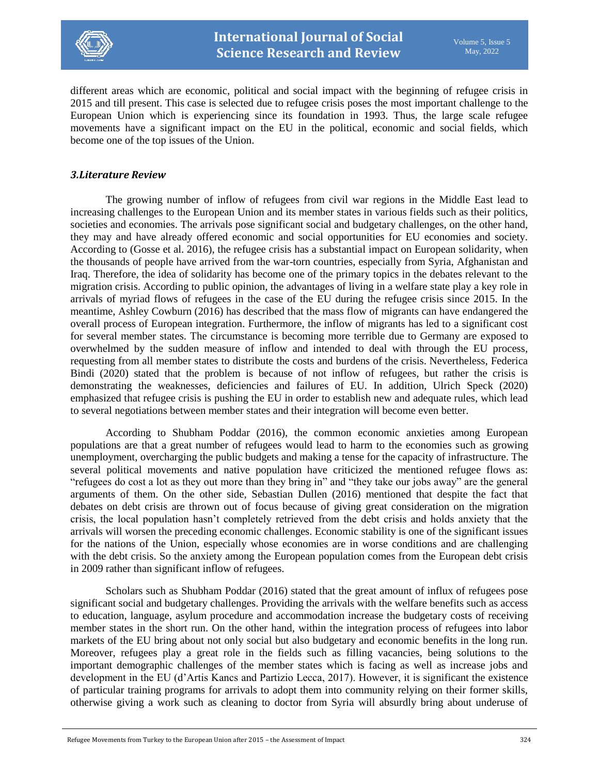

different areas which are economic, political and social impact with the beginning of refugee crisis in 2015 and till present. This case is selected due to refugee crisis poses the most important challenge to the European Union which is experiencing since its foundation in 1993. Thus, the large scale refugee movements have a significant impact on the EU in the political, economic and social fields, which become one of the top issues of the Union.

#### *3.Literature Review*

The growing number of inflow of refugees from civil war regions in the Middle East lead to increasing challenges to the European Union and its member states in various fields such as their politics, societies and economies. The arrivals pose significant social and budgetary challenges, on the other hand, they may and have already offered economic and social opportunities for EU economies and society. According to (Gosse et al. 2016), the refugee crisis has a substantial impact on European solidarity, when the thousands of people have arrived from the war-torn countries, especially from Syria, Afghanistan and Iraq. Therefore, the idea of solidarity has become one of the primary topics in the debates relevant to the migration crisis. According to public opinion, the advantages of living in a welfare state play a key role in arrivals of myriad flows of refugees in the case of the EU during the refugee crisis since 2015. In the meantime, Ashley Cowburn (2016) has described that the mass flow of migrants can have endangered the overall process of European integration. Furthermore, the inflow of migrants has led to a significant cost for several member states. The circumstance is becoming more terrible due to Germany are exposed to overwhelmed by the sudden measure of inflow and intended to deal with through the EU process, requesting from all member states to distribute the costs and burdens of the crisis. Nevertheless, Federica Bindi (2020) stated that the problem is because of not inflow of refugees, but rather the crisis is demonstrating the weaknesses, deficiencies and failures of EU. In addition, Ulrich Speck (2020) emphasized that refugee crisis is pushing the EU in order to establish new and adequate rules, which lead to several negotiations between member states and their integration will become even better.

According to Shubham Poddar (2016), the common economic anxieties among European populations are that a great number of refugees would lead to harm to the economies such as growing unemployment, overcharging the public budgets and making a tense for the capacity of infrastructure. The several political movements and native population have criticized the mentioned refugee flows as: "refugees do cost a lot as they out more than they bring in" and "they take our jobs away" are the general arguments of them. On the other side, Sebastian Dullen (2016) mentioned that despite the fact that debates on debt crisis are thrown out of focus because of giving great consideration on the migration crisis, the local population hasn't completely retrieved from the debt crisis and holds anxiety that the arrivals will worsen the preceding economic challenges. Economic stability is one of the significant issues for the nations of the Union, especially whose economies are in worse conditions and are challenging with the debt crisis. So the anxiety among the European population comes from the European debt crisis in 2009 rather than significant inflow of refugees.

Scholars such as Shubham Poddar (2016) stated that the great amount of influx of refugees pose significant social and budgetary challenges. Providing the arrivals with the welfare benefits such as access to education, language, asylum procedure and accommodation increase the budgetary costs of receiving member states in the short run. On the other hand, within the integration process of refugees into labor markets of the EU bring about not only social but also budgetary and economic benefits in the long run. Moreover, refugees play a great role in the fields such as filling vacancies, being solutions to the important demographic challenges of the member states which is facing as well as increase jobs and development in the EU (d'Artis Kancs and Partizio Lecca, 2017). However, it is significant the existence of particular training programs for arrivals to adopt them into community relying on their former skills, otherwise giving a work such as cleaning to doctor from Syria will absurdly bring about underuse of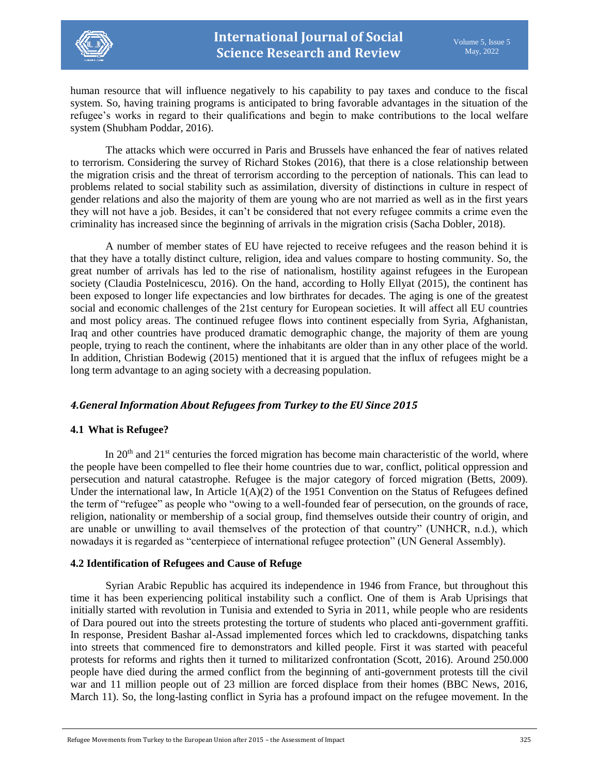

human resource that will influence negatively to his capability to pay taxes and conduce to the fiscal system. So, having training programs is anticipated to bring favorable advantages in the situation of the refugee's works in regard to their qualifications and begin to make contributions to the local welfare system (Shubham Poddar, 2016).

The attacks which were occurred in Paris and Brussels have enhanced the fear of natives related to terrorism. Considering the survey of Richard Stokes (2016), that there is a close relationship between the migration crisis and the threat of terrorism according to the perception of nationals. This can lead to problems related to social stability such as assimilation, diversity of distinctions in culture in respect of gender relations and also the majority of them are young who are not married as well as in the first years they will not have a job. Besides, it can't be considered that not every refugee commits a crime even the criminality has increased since the beginning of arrivals in the migration crisis (Sacha Dobler, 2018).

A number of member states of EU have rejected to receive refugees and the reason behind it is that they have a totally distinct culture, religion, idea and values compare to hosting community. So, the great number of arrivals has led to the rise of nationalism, hostility against refugees in the European society (Claudia Postelnicescu, 2016). On the hand, according to Holly Ellyat (2015), the continent has been exposed to longer life expectancies and low birthrates for decades. The aging is one of the greatest social and economic challenges of the 21st century for European societies. It will affect all EU countries and most policy areas. The continued refugee flows into continent especially from Syria, Afghanistan, Iraq and other countries have produced dramatic demographic change, the majority of them are young people, trying to reach the continent, where the inhabitants are older than in any other place of the world. In addition, Christian Bodewig (2015) mentioned that it is argued that the influx of refugees might be a long term advantage to an aging society with a decreasing population.

## *4.General Information About Refugees from Turkey to the EU Since 2015*

#### **4.1 What is Refugee?**

In 20<sup>th</sup> and 21<sup>st</sup> centuries the forced migration has become main characteristic of the world, where the people have been compelled to flee their home countries due to war, conflict, political oppression and persecution and natural catastrophe. Refugee is the major category of forced migration (Betts, 2009). Under the international law, In Article  $1(A)(2)$  of the 1951 Convention on the Status of Refugees defined the term of "refugee" as people who "owing to a well-founded fear of persecution, on the grounds of race, religion, nationality or membership of a social group, find themselves outside their country of origin, and are unable or unwilling to avail themselves of the protection of that country" (UNHCR, n.d.), which nowadays it is regarded as "centerpiece of international refugee protection" (UN General Assembly).

#### **4.2 Identification of Refugees and Cause of Refuge**

Syrian Arabic Republic has acquired its independence in 1946 from France, but throughout this time it has been experiencing political instability such a conflict. One of them is Arab Uprisings that initially started with revolution in Tunisia and extended to Syria in 2011, while people who are residents of Dara poured out into the streets protesting the torture of students who placed anti-government graffiti. In response, President Bashar al-Assad implemented forces which led to crackdowns, dispatching tanks into streets that commenced fire to demonstrators and killed people. First it was started with peaceful protests for reforms and rights then it turned to militarized confrontation (Scott, 2016). Around 250.000 people have died during the armed conflict from the beginning of anti-government protests till the civil war and 11 million people out of 23 million are forced displace from their homes (BBC News, 2016, March 11). So, the long-lasting conflict in Syria has a profound impact on the refugee movement. In the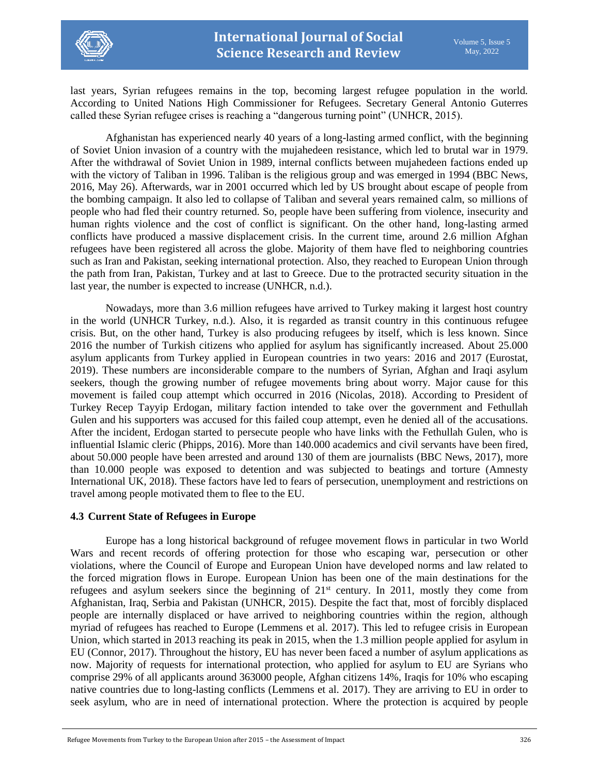

last years, Syrian refugees remains in the top, becoming largest refugee population in the world. According to United Nations High Commissioner for Refugees. Secretary General Antonio Guterres called these Syrian refugee crises is reaching a "dangerous turning point" (UNHCR, 2015).

Afghanistan has experienced nearly 40 years of a long-lasting armed conflict, with the beginning of Soviet Union invasion of a country with the mujahedeen resistance, which led to brutal war in 1979. After the withdrawal of Soviet Union in 1989, internal conflicts between mujahedeen factions ended up with the victory of Taliban in 1996. Taliban is the religious group and was emerged in 1994 (BBC News, 2016, May 26). Afterwards, war in 2001 occurred which led by US brought about escape of people from the bombing campaign. It also led to collapse of Taliban and several years remained calm, so millions of people who had fled their country returned. So, people have been suffering from violence, insecurity and human rights violence and the cost of conflict is significant. On the other hand, long-lasting armed conflicts have produced a massive displacement crisis. In the current time, around 2.6 million Afghan refugees have been registered all across the globe. Majority of them have fled to neighboring countries such as Iran and Pakistan, seeking international protection. Also, they reached to European Union through the path from Iran, Pakistan, Turkey and at last to Greece. Due to the protracted security situation in the last year, the number is expected to increase (UNHCR, n.d.).

Nowadays, more than 3.6 million refugees have arrived to Turkey making it largest host country in the world (UNHCR Turkey, n.d.). Also, it is regarded as transit country in this continuous refugee crisis. But, on the other hand, Turkey is also producing refugees by itself, which is less known. Since 2016 the number of Turkish citizens who applied for asylum has significantly increased. About 25.000 asylum applicants from Turkey applied in European countries in two years: 2016 and 2017 (Eurostat, 2019). These numbers are inconsiderable compare to the numbers of Syrian, Afghan and Iraqi asylum seekers, though the growing number of refugee movements bring about worry. Major cause for this movement is failed coup attempt which occurred in 2016 (Nicolas, 2018). According to President of Turkey Recep Tayyip Erdogan, military faction intended to take over the government and Fethullah Gulen and his supporters was accused for this failed coup attempt, even he denied all of the accusations. After the incident, Erdogan started to persecute people who have links with the Fethullah Gulen, who is influential Islamic cleric (Phipps, 2016). More than 140.000 academics and civil servants have been fired, about 50.000 people have been arrested and around 130 of them are journalists (BBC News, 2017), more than 10.000 people was exposed to detention and was subjected to beatings and torture (Amnesty International UK, 2018). These factors have led to fears of persecution, unemployment and restrictions on travel among people motivated them to flee to the EU.

#### **4.3 Current State of Refugees in Europe**

Europe has a long historical background of refugee movement flows in particular in two World Wars and recent records of offering protection for those who escaping war, persecution or other violations, where the Council of Europe and European Union have developed norms and law related to the forced migration flows in Europe. European Union has been one of the main destinations for the refugees and asylum seekers since the beginning of  $21<sup>st</sup>$  century. In 2011, mostly they come from Afghanistan, Iraq, Serbia and Pakistan (UNHCR, 2015). Despite the fact that, most of forcibly displaced people are internally displaced or have arrived to neighboring countries within the region, although myriad of refugees has reached to Europe (Lemmens et al. 2017). This led to refugee crisis in European Union, which started in 2013 reaching its peak in 2015, when the 1.3 million people applied for asylum in EU (Connor, 2017). Throughout the history, EU has never been faced a number of asylum applications as now. Majority of requests for international protection, who applied for asylum to EU are Syrians who comprise 29% of all applicants around 363000 people, Afghan citizens 14%, Iraqis for 10% who escaping native countries due to long-lasting conflicts (Lemmens et al. 2017). They are arriving to EU in order to seek asylum, who are in need of international protection. Where the protection is acquired by people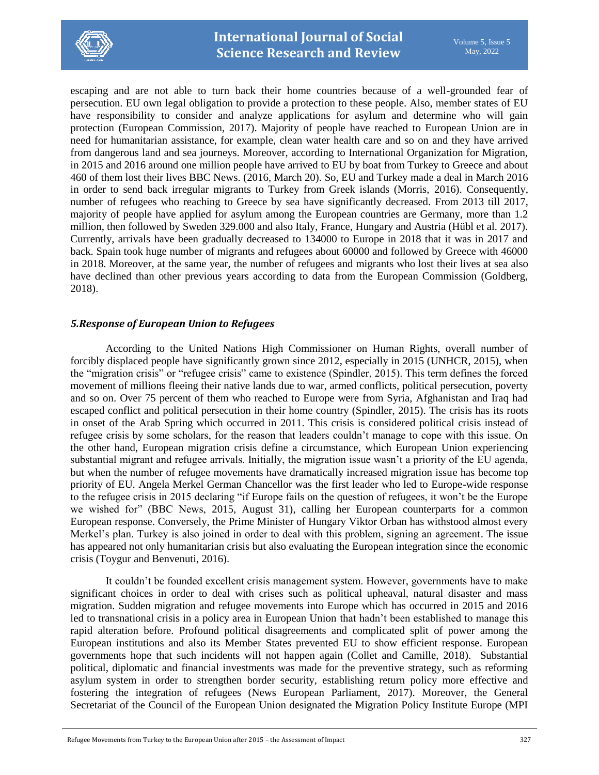

escaping and are not able to turn back their home countries because of a well-grounded fear of persecution. EU own legal obligation to provide a protection to these people. Also, member states of EU have responsibility to consider and analyze applications for asylum and determine who will gain protection (European Commission, 2017). Majority of people have reached to European Union are in need for humanitarian assistance, for example, clean water health care and so on and they have arrived from dangerous land and sea journeys. Moreover, according to International Organization for Migration, in 2015 and 2016 around one million people have arrived to EU by boat from Turkey to Greece and about 460 of them lost their lives BBC News. (2016, March 20). So, EU and Turkey made a deal in March 2016 in order to send back irregular migrants to Turkey from Greek islands (Morris, 2016). Consequently, number of refugees who reaching to Greece by sea have significantly decreased. From 2013 till 2017, majority of people have applied for asylum among the European countries are Germany, more than 1.2 million, then followed by Sweden 329.000 and also Italy, France, Hungary and Austria (Hübl et al. 2017). Currently, arrivals have been gradually decreased to 134000 to Europe in 2018 that it was in 2017 and back. Spain took huge number of migrants and refugees about 60000 and followed by Greece with 46000 in 2018. Moreover, at the same year, the number of refugees and migrants who lost their lives at sea also have declined than other previous years according to data from the European Commission (Goldberg, 2018).

### *5.Response of European Union to Refugees*

According to the United Nations High Commissioner on Human Rights, overall number of forcibly displaced people have significantly grown since 2012, especially in 2015 (UNHCR, 2015), when the "migration crisis" or "refugee crisis" came to existence (Spindler, 2015). This term defines the forced movement of millions fleeing their native lands due to war, armed conflicts, political persecution, poverty and so on. Over 75 percent of them who reached to Europe were from Syria, Afghanistan and Iraq had escaped conflict and political persecution in their home country (Spindler, 2015). The crisis has its roots in onset of the Arab Spring which occurred in 2011. This crisis is considered political crisis instead of refugee crisis by some scholars, for the reason that leaders couldn't manage to cope with this issue. On the other hand, European migration crisis define a circumstance, which European Union experiencing substantial migrant and refugee arrivals. Initially, the migration issue wasn't a priority of the EU agenda, but when the number of refugee movements have dramatically increased migration issue has become top priority of EU. Angela Merkel German Chancellor was the first leader who led to Europe-wide response to the refugee crisis in 2015 declaring "if Europe fails on the question of refugees, it won't be the Europe we wished for" (BBC News, 2015, August 31), calling her European counterparts for a common European response. Conversely, the Prime Minister of Hungary Viktor Orban has withstood almost every Merkel's plan. Turkey is also joined in order to deal with this problem, signing an agreement. The issue has appeared not only humanitarian crisis but also evaluating the European integration since the economic crisis (Toygur and Benvenuti, 2016).

It couldn't be founded excellent crisis management system. However, governments have to make significant choices in order to deal with crises such as political upheaval, natural disaster and mass migration. Sudden migration and refugee movements into Europe which has occurred in 2015 and 2016 led to transnational crisis in a policy area in European Union that hadn't been established to manage this rapid alteration before. Profound political disagreements and complicated split of power among the European institutions and also its Member States prevented EU to show efficient response. European governments hope that such incidents will not happen again (Collet and Camille, 2018). Substantial political, diplomatic and financial investments was made for the preventive strategy, such as reforming asylum system in order to strengthen border security, establishing return policy more effective and fostering the integration of refugees (News European Parliament, 2017). Moreover, the General Secretariat of the Council of the European Union designated the Migration Policy Institute Europe (MPI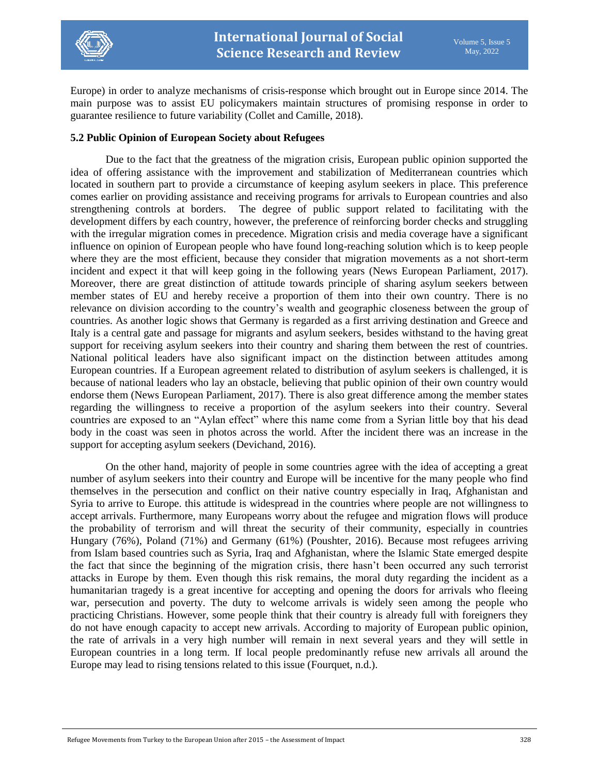

Europe) in order to analyze mechanisms of crisis-response which brought out in Europe since 2014. The main purpose was to assist EU policymakers maintain structures of promising response in order to guarantee resilience to future variability (Collet and Camille, 2018).

#### **5.2 Public Opinion of European Society about Refugees**

Due to the fact that the greatness of the migration crisis, European public opinion supported the idea of offering assistance with the improvement and stabilization of Mediterranean countries which located in southern part to provide a circumstance of keeping asylum seekers in place. This preference comes earlier on providing assistance and receiving programs for arrivals to European countries and also strengthening controls at borders. The degree of public support related to facilitating with the development differs by each country, however, the preference of reinforcing border checks and struggling with the irregular migration comes in precedence. Migration crisis and media coverage have a significant influence on opinion of European people who have found long-reaching solution which is to keep people where they are the most efficient, because they consider that migration movements as a not short-term incident and expect it that will keep going in the following years (News European Parliament, 2017). Moreover, there are great distinction of attitude towards principle of sharing asylum seekers between member states of EU and hereby receive a proportion of them into their own country. There is no relevance on division according to the country's wealth and geographic closeness between the group of countries. As another logic shows that Germany is regarded as a first arriving destination and Greece and Italy is a central gate and passage for migrants and asylum seekers, besides withstand to the having great support for receiving asylum seekers into their country and sharing them between the rest of countries. National political leaders have also significant impact on the distinction between attitudes among European countries. If a European agreement related to distribution of asylum seekers is challenged, it is because of national leaders who lay an obstacle, believing that public opinion of their own country would endorse them (News European Parliament, 2017). There is also great difference among the member states regarding the willingness to receive a proportion of the asylum seekers into their country. Several countries are exposed to an "Aylan effect" where this name come from a Syrian little boy that his dead body in the coast was seen in photos across the world. After the incident there was an increase in the support for accepting asylum seekers (Devichand, 2016).

On the other hand, majority of people in some countries agree with the idea of accepting a great number of asylum seekers into their country and Europe will be incentive for the many people who find themselves in the persecution and conflict on their native country especially in Iraq, Afghanistan and Syria to arrive to Europe. this attitude is widespread in the countries where people are not willingness to accept arrivals. Furthermore, many Europeans worry about the refugee and migration flows will produce the probability of terrorism and will threat the security of their community, especially in countries Hungary (76%), Poland (71%) and Germany (61%) (Poushter, 2016). Because most refugees arriving from Islam based countries such as Syria, Iraq and Afghanistan, where the Islamic State emerged despite the fact that since the beginning of the migration crisis, there hasn't been occurred any such terrorist attacks in Europe by them. Even though this risk remains, the moral duty regarding the incident as a humanitarian tragedy is a great incentive for accepting and opening the doors for arrivals who fleeing war, persecution and poverty. The duty to welcome arrivals is widely seen among the people who practicing Christians. However, some people think that their country is already full with foreigners they do not have enough capacity to accept new arrivals. According to majority of European public opinion, the rate of arrivals in a very high number will remain in next several years and they will settle in European countries in a long term. If local people predominantly refuse new arrivals all around the Europe may lead to rising tensions related to this issue (Fourquet, n.d.).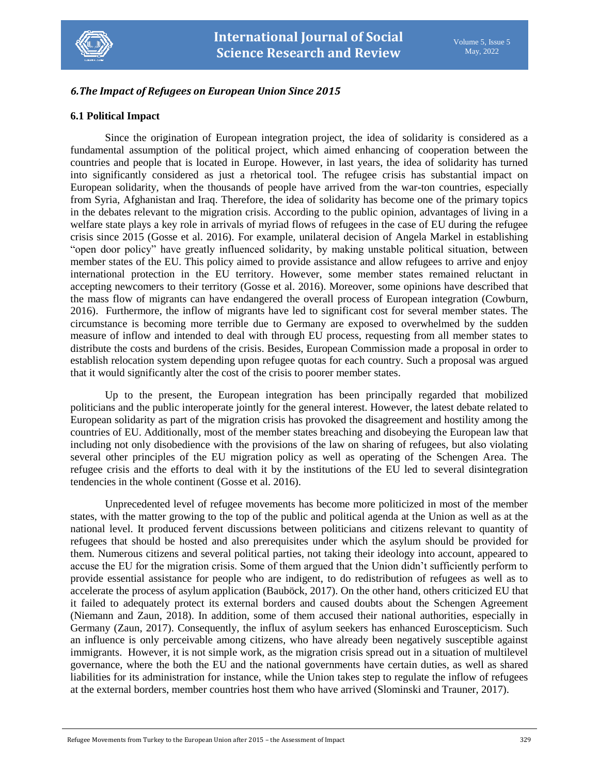

### *6.The Impact of Refugees on European Union Since 2015*

#### **6.1 Political Impact**

Since the origination of European integration project, the idea of solidarity is considered as a fundamental assumption of the political project, which aimed enhancing of cooperation between the countries and people that is located in Europe. However, in last years, the idea of solidarity has turned into significantly considered as just a rhetorical tool. The refugee crisis has substantial impact on European solidarity, when the thousands of people have arrived from the war-ton countries, especially from Syria, Afghanistan and Iraq. Therefore, the idea of solidarity has become one of the primary topics in the debates relevant to the migration crisis. According to the public opinion, advantages of living in a welfare state plays a key role in arrivals of myriad flows of refugees in the case of EU during the refugee crisis since 2015 (Gosse et al. 2016). For example, unilateral decision of Angela Markel in establishing "open door policy" have greatly influenced solidarity, by making unstable political situation, between member states of the EU. This policy aimed to provide assistance and allow refugees to arrive and enjoy international protection in the EU territory. However, some member states remained reluctant in accepting newcomers to their territory (Gosse et al. 2016). Moreover, some opinions have described that the mass flow of migrants can have endangered the overall process of European integration (Cowburn, 2016). Furthermore, the inflow of migrants have led to significant cost for several member states. The circumstance is becoming more terrible due to Germany are exposed to overwhelmed by the sudden measure of inflow and intended to deal with through EU process, requesting from all member states to distribute the costs and burdens of the crisis. Besides, European Commission made a proposal in order to establish relocation system depending upon refugee quotas for each country. Such a proposal was argued that it would significantly alter the cost of the crisis to poorer member states.

Up to the present, the European integration has been principally regarded that mobilized politicians and the public interoperate jointly for the general interest. However, the latest debate related to European solidarity as part of the migration crisis has provoked the disagreement and hostility among the countries of EU. Additionally, most of the member states breaching and disobeying the European law that including not only disobedience with the provisions of the law on sharing of refugees, but also violating several other principles of the EU migration policy as well as operating of the Schengen Area. The refugee crisis and the efforts to deal with it by the institutions of the EU led to several disintegration tendencies in the whole continent (Gosse et al. 2016).

Unprecedented level of refugee movements has become more politicized in most of the member states, with the matter growing to the top of the public and political agenda at the Union as well as at the national level. It produced fervent discussions between politicians and citizens relevant to quantity of refugees that should be hosted and also prerequisites under which the asylum should be provided for them. Numerous citizens and several political parties, not taking their ideology into account, appeared to accuse the EU for the migration crisis. Some of them argued that the Union didn't sufficiently perform to provide essential assistance for people who are indigent, to do redistribution of refugees as well as to accelerate the process of asylum application (Bauböck, 2017). On the other hand, others criticized EU that it failed to adequately protect its external borders and caused doubts about the Schengen Agreement (Niemann and Zaun, 2018). In addition, some of them accused their national authorities, especially in Germany (Zaun, 2017). Consequently, the influx of asylum seekers has enhanced Euroscepticism. Such an influence is only perceivable among citizens, who have already been negatively susceptible against immigrants. However, it is not simple work, as the migration crisis spread out in a situation of multilevel governance, where the both the EU and the national governments have certain duties, as well as shared liabilities for its administration for instance, while the Union takes step to regulate the inflow of refugees at the external borders, member countries host them who have arrived (Slominski and Trauner, 2017).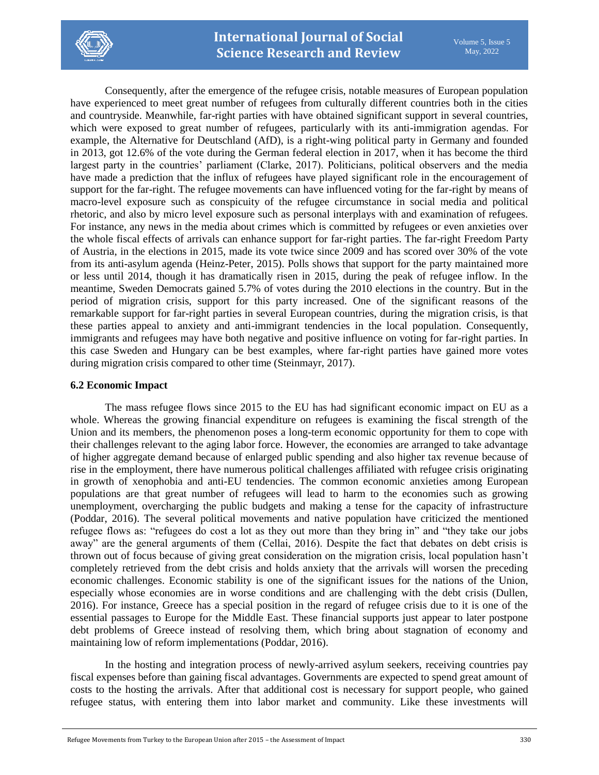

Consequently, after the emergence of the refugee crisis, notable measures of European population have experienced to meet great number of refugees from culturally different countries both in the cities and countryside. Meanwhile, far-right parties with have obtained significant support in several countries, which were exposed to great number of refugees, particularly with its anti-immigration agendas. For example, the Alternative for Deutschland (AfD), is a right-wing political party in Germany and founded in 2013, got 12.6% of the vote during the German federal election in 2017, when it has become the third largest party in the countries' parliament (Clarke, 2017). Politicians, political observers and the media have made a prediction that the influx of refugees have played significant role in the encouragement of support for the far-right. The refugee movements can have influenced voting for the far-right by means of macro-level exposure such as conspicuity of the refugee circumstance in social media and political rhetoric, and also by micro level exposure such as personal interplays with and examination of refugees. For instance, any news in the media about crimes which is committed by refugees or even anxieties over the whole fiscal effects of arrivals can enhance support for far-right parties. The far-right Freedom Party of Austria, in the elections in 2015, made its vote twice since 2009 and has scored over 30% of the vote from its anti-asylum agenda (Heinz-Peter, 2015). Polls shows that support for the party maintained more or less until 2014, though it has dramatically risen in 2015, during the peak of refugee inflow. In the meantime, Sweden Democrats gained 5.7% of votes during the 2010 elections in the country. But in the period of migration crisis, support for this party increased. One of the significant reasons of the remarkable support for far-right parties in several European countries, during the migration crisis, is that these parties appeal to anxiety and anti-immigrant tendencies in the local population. Consequently, immigrants and refugees may have both negative and positive influence on voting for far-right parties. In this case Sweden and Hungary can be best examples, where far-right parties have gained more votes during migration crisis compared to other time (Steinmayr, 2017).

#### **6.2 Economic Impact**

The mass refugee flows since 2015 to the EU has had significant economic impact on EU as a whole. Whereas the growing financial expenditure on refugees is examining the fiscal strength of the Union and its members, the phenomenon poses a long-term economic opportunity for them to cope with their challenges relevant to the aging labor force. However, the economies are arranged to take advantage of higher aggregate demand because of enlarged public spending and also higher tax revenue because of rise in the employment, there have numerous political challenges affiliated with refugee crisis originating in growth of xenophobia and anti-EU tendencies. The common economic anxieties among European populations are that great number of refugees will lead to harm to the economies such as growing unemployment, overcharging the public budgets and making a tense for the capacity of infrastructure (Poddar, 2016). The several political movements and native population have criticized the mentioned refugee flows as: "refugees do cost a lot as they out more than they bring in" and "they take our jobs away" are the general arguments of them (Cellai, 2016). Despite the fact that debates on debt crisis is thrown out of focus because of giving great consideration on the migration crisis, local population hasn't completely retrieved from the debt crisis and holds anxiety that the arrivals will worsen the preceding economic challenges. Economic stability is one of the significant issues for the nations of the Union, especially whose economies are in worse conditions and are challenging with the debt crisis (Dullen, 2016). For instance, Greece has a special position in the regard of refugee crisis due to it is one of the essential passages to Europe for the Middle East. These financial supports just appear to later postpone debt problems of Greece instead of resolving them, which bring about stagnation of economy and maintaining low of reform implementations (Poddar, 2016).

In the hosting and integration process of newly-arrived asylum seekers, receiving countries pay fiscal expenses before than gaining fiscal advantages. Governments are expected to spend great amount of costs to the hosting the arrivals. After that additional cost is necessary for support people, who gained refugee status, with entering them into labor market and community. Like these investments will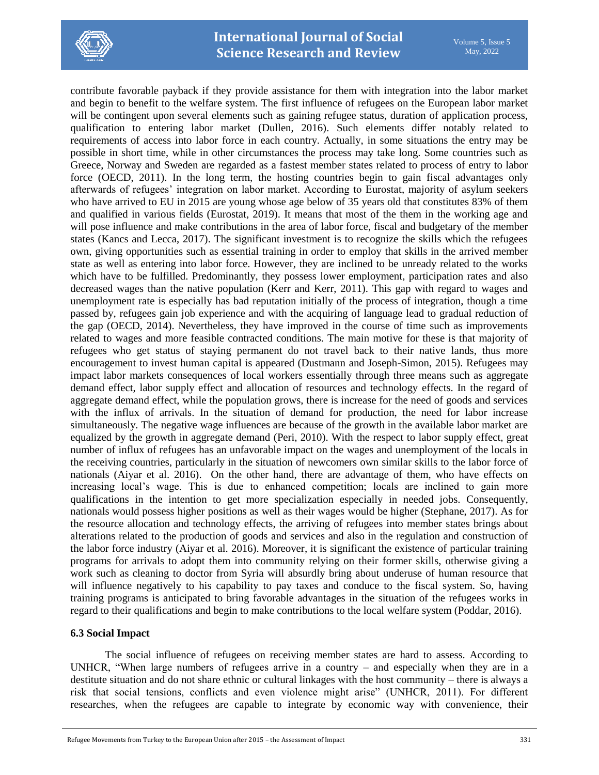

contribute favorable payback if they provide assistance for them with integration into the labor market and begin to benefit to the welfare system. The first influence of refugees on the European labor market will be contingent upon several elements such as gaining refugee status, duration of application process, qualification to entering labor market (Dullen, 2016). Such elements differ notably related to requirements of access into labor force in each country. Actually, in some situations the entry may be possible in short time, while in other circumstances the process may take long. Some countries such as Greece, Norway and Sweden are regarded as a fastest member states related to process of entry to labor force (OECD, 2011). In the long term, the hosting countries begin to gain fiscal advantages only afterwards of refugees' integration on labor market. According to Eurostat, majority of asylum seekers who have arrived to EU in 2015 are young whose age below of 35 years old that constitutes 83% of them and qualified in various fields (Eurostat, 2019). It means that most of the them in the working age and will pose influence and make contributions in the area of labor force, fiscal and budgetary of the member states (Kancs and Lecca, 2017). The significant investment is to recognize the skills which the refugees own, giving opportunities such as essential training in order to employ that skills in the arrived member state as well as entering into labor force. However, they are inclined to be unready related to the works which have to be fulfilled. Predominantly, they possess lower employment, participation rates and also decreased wages than the native population (Kerr and Kerr, 2011). This gap with regard to wages and unemployment rate is especially has bad reputation initially of the process of integration, though a time passed by, refugees gain job experience and with the acquiring of language lead to gradual reduction of the gap (OECD, 2014). Nevertheless, they have improved in the course of time such as improvements related to wages and more feasible contracted conditions. The main motive for these is that majority of refugees who get status of staying permanent do not travel back to their native lands, thus more encouragement to invest human capital is appeared (Dustmann and Joseph-Simon, 2015). Refugees may impact labor markets consequences of local workers essentially through three means such as aggregate demand effect, labor supply effect and allocation of resources and technology effects. In the regard of aggregate demand effect, while the population grows, there is increase for the need of goods and services with the influx of arrivals. In the situation of demand for production, the need for labor increase simultaneously. The negative wage influences are because of the growth in the available labor market are equalized by the growth in aggregate demand (Peri, 2010). With the respect to labor supply effect, great number of influx of refugees has an unfavorable impact on the wages and unemployment of the locals in the receiving countries, particularly in the situation of newcomers own similar skills to the labor force of nationals (Aiyar et al. 2016). On the other hand, there are advantage of them, who have effects on increasing local's wage. This is due to enhanced competition; locals are inclined to gain more qualifications in the intention to get more specialization especially in needed jobs. Consequently, nationals would possess higher positions as well as their wages would be higher (Stephane, 2017). As for the resource allocation and technology effects, the arriving of refugees into member states brings about alterations related to the production of goods and services and also in the regulation and construction of the labor force industry (Aiyar et al. 2016). Moreover, it is significant the existence of particular training programs for arrivals to adopt them into community relying on their former skills, otherwise giving a work such as cleaning to doctor from Syria will absurdly bring about underuse of human resource that will influence negatively to his capability to pay taxes and conduce to the fiscal system. So, having training programs is anticipated to bring favorable advantages in the situation of the refugees works in regard to their qualifications and begin to make contributions to the local welfare system (Poddar, 2016).

#### **6.3 Social Impact**

The social influence of refugees on receiving member states are hard to assess. According to UNHCR, "When large numbers of refugees arrive in a country – and especially when they are in a destitute situation and do not share ethnic or cultural linkages with the host community – there is always a risk that social tensions, conflicts and even violence might arise" (UNHCR, 2011). For different researches, when the refugees are capable to integrate by economic way with convenience, their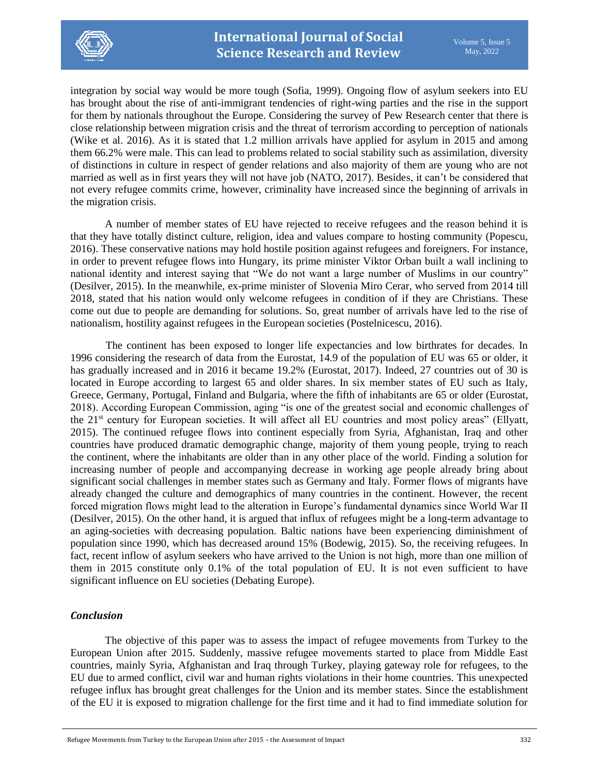

integration by social way would be more tough (Sofia, 1999). Ongoing flow of asylum seekers into EU has brought about the rise of anti-immigrant tendencies of right-wing parties and the rise in the support for them by nationals throughout the Europe. Considering the survey of Pew Research center that there is close relationship between migration crisis and the threat of terrorism according to perception of nationals (Wike et al. 2016). As it is stated that 1.2 million arrivals have applied for asylum in 2015 and among them 66.2% were male. This can lead to problems related to social stability such as assimilation, diversity of distinctions in culture in respect of gender relations and also majority of them are young who are not married as well as in first years they will not have job (NATO, 2017). Besides, it can't be considered that not every refugee commits crime, however, criminality have increased since the beginning of arrivals in the migration crisis.

A number of member states of EU have rejected to receive refugees and the reason behind it is that they have totally distinct culture, religion, idea and values compare to hosting community (Popescu, 2016). These conservative nations may hold hostile position against refugees and foreigners. For instance, in order to prevent refugee flows into Hungary, its prime minister Viktor Orban built a wall inclining to national identity and interest saying that "We do not want a large number of Muslims in our country" (Desilver, 2015). In the meanwhile, ex-prime minister of Slovenia Miro Cerar, who served from 2014 till 2018, stated that his nation would only welcome refugees in condition of if they are Christians. These come out due to people are demanding for solutions. So, great number of arrivals have led to the rise of nationalism, hostility against refugees in the European societies (Postelnicescu, 2016).

The continent has been exposed to longer life expectancies and low birthrates for decades. In 1996 considering the research of data from the Eurostat, 14.9 of the population of EU was 65 or older, it has gradually increased and in 2016 it became 19.2% (Eurostat, 2017). Indeed, 27 countries out of 30 is located in Europe according to largest 65 and older shares. In six member states of EU such as Italy, Greece, Germany, Portugal, Finland and Bulgaria, where the fifth of inhabitants are 65 or older (Eurostat, 2018). According European Commission, aging "is one of the greatest social and economic challenges of the 21st century for European societies. It will affect all EU countries and most policy areas" (Ellyatt, 2015). The continued refugee flows into continent especially from Syria, Afghanistan, Iraq and other countries have produced dramatic demographic change, majority of them young people, trying to reach the continent, where the inhabitants are older than in any other place of the world. Finding a solution for increasing number of people and accompanying decrease in working age people already bring about significant social challenges in member states such as Germany and Italy. Former flows of migrants have already changed the culture and demographics of many countries in the continent. However, the recent forced migration flows might lead to the alteration in Europe's fundamental dynamics since World War II (Desilver, 2015). On the other hand, it is argued that influx of refugees might be a long-term advantage to an aging-societies with decreasing population. Baltic nations have been experiencing diminishment of population since 1990, which has decreased around 15% (Bodewig, 2015). So, the receiving refugees. In fact, recent inflow of asylum seekers who have arrived to the Union is not high, more than one million of them in 2015 constitute only 0.1% of the total population of EU. It is not even sufficient to have significant influence on EU societies (Debating Europe).

### *Conclusion*

The objective of this paper was to assess the impact of refugee movements from Turkey to the European Union after 2015. Suddenly, massive refugee movements started to place from Middle East countries, mainly Syria, Afghanistan and Iraq through Turkey, playing gateway role for refugees, to the EU due to armed conflict, civil war and human rights violations in their home countries. This unexpected refugee influx has brought great challenges for the Union and its member states. Since the establishment of the EU it is exposed to migration challenge for the first time and it had to find immediate solution for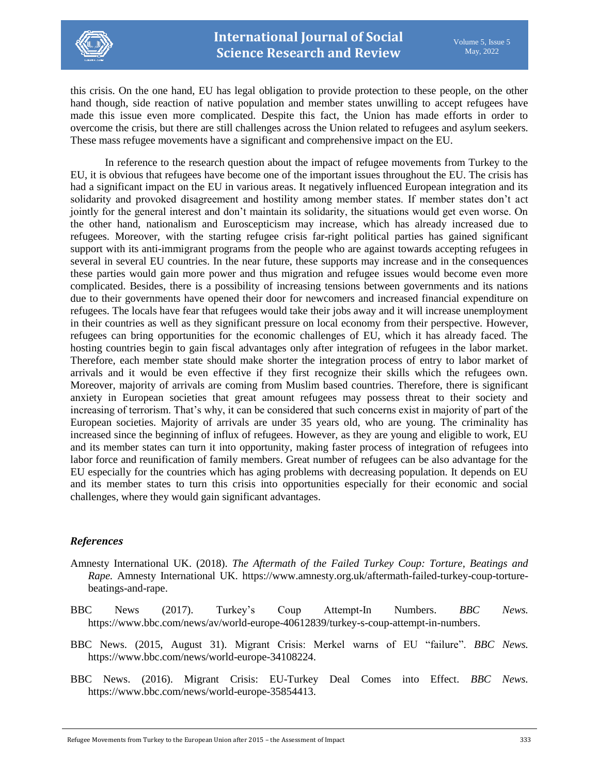

this crisis. On the one hand, EU has legal obligation to provide protection to these people, on the other hand though, side reaction of native population and member states unwilling to accept refugees have made this issue even more complicated. Despite this fact, the Union has made efforts in order to overcome the crisis, but there are still challenges across the Union related to refugees and asylum seekers. These mass refugee movements have a significant and comprehensive impact on the EU.

In reference to the research question about the impact of refugee movements from Turkey to the EU, it is obvious that refugees have become one of the important issues throughout the EU. The crisis has had a significant impact on the EU in various areas. It negatively influenced European integration and its solidarity and provoked disagreement and hostility among member states. If member states don't act jointly for the general interest and don't maintain its solidarity, the situations would get even worse. On the other hand, nationalism and Euroscepticism may increase, which has already increased due to refugees. Moreover, with the starting refugee crisis far-right political parties has gained significant support with its anti-immigrant programs from the people who are against towards accepting refugees in several in several EU countries. In the near future, these supports may increase and in the consequences these parties would gain more power and thus migration and refugee issues would become even more complicated. Besides, there is a possibility of increasing tensions between governments and its nations due to their governments have opened their door for newcomers and increased financial expenditure on refugees. The locals have fear that refugees would take their jobs away and it will increase unemployment in their countries as well as they significant pressure on local economy from their perspective. However, refugees can bring opportunities for the economic challenges of EU, which it has already faced. The hosting countries begin to gain fiscal advantages only after integration of refugees in the labor market. Therefore, each member state should make shorter the integration process of entry to labor market of arrivals and it would be even effective if they first recognize their skills which the refugees own. Moreover, majority of arrivals are coming from Muslim based countries. Therefore, there is significant anxiety in European societies that great amount refugees may possess threat to their society and increasing of terrorism. That's why, it can be considered that such concerns exist in majority of part of the European societies. Majority of arrivals are under 35 years old, who are young. The criminality has increased since the beginning of influx of refugees. However, as they are young and eligible to work, EU and its member states can turn it into opportunity, making faster process of integration of refugees into labor force and reunification of family members. Great number of refugees can be also advantage for the EU especially for the countries which has aging problems with decreasing population. It depends on EU and its member states to turn this crisis into opportunities especially for their economic and social challenges, where they would gain significant advantages.

#### *References*

- Amnesty International UK. (2018). *The Aftermath of the Failed Turkey Coup: Torture, Beatings and Rape.* Amnesty International UK. [https://www.amnesty.org.uk/aftermath-failed-turkey-coup-torture](https://www.amnesty.org.uk/aftermath-failed-turkey-coup-torture-beatings-and-rape)[beatings-and-rape.](https://www.amnesty.org.uk/aftermath-failed-turkey-coup-torture-beatings-and-rape)
- BBC News (2017). Turkey's Coup Attempt-In Numbers. *BBC News.* [https://www.bbc.com/news/av/world-europe-40612839/turkey-s-coup-attempt-in-numbers.](https://www.bbc.com/news/av/world-europe-40612839/turkey-s-coup-attempt-in-numbers)
- BBC News. (2015, August 31). Migrant Crisis: Merkel warns of EU "failure". *BBC News.* [https://www.bbc.com/news/world-europe-34108224.](https://www.bbc.com/news/world-europe-34108224)
- BBC News. (2016). Migrant Crisis: EU-Turkey Deal Comes into Effect. *BBC News.*  [https://www.bbc.com/news/world-europe-35854413.](https://www.bbc.com/news/world-europe-35854413)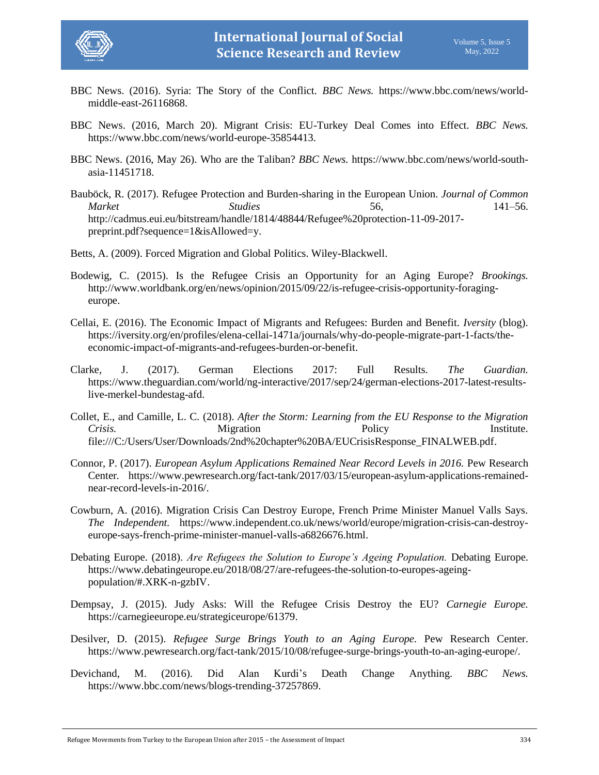



- BBC News. (2016). Syria: The Story of the Conflict. *BBC News.* [https://www.bbc.com/news/world](https://www.bbc.com/news/world-middle-east-26116868)[middle-east-26116868.](https://www.bbc.com/news/world-middle-east-26116868)
- BBC News. (2016, March 20). Migrant Crisis: EU-Turkey Deal Comes into Effect. *BBC News.* [https://www.bbc.com/news/world-europe-35854413.](https://www.bbc.com/news/world-europe-35854413)
- BBC News. (2016, May 26). Who are the Taliban? *BBC News.* [https://www.bbc.com/news/world-south](https://www.bbc.com/news/world-south-asia-11451718)[asia-11451718.](https://www.bbc.com/news/world-south-asia-11451718)
- Bauböck, R. (2017). Refugee Protection and Burden-sharing in the European Union. *Journal of Common Market Studies* 56, 141–56. [http://cadmus.eui.eu/bitstream/handle/1814/48844/Refugee%20protection-11-09-2017](http://cadmus.eui.eu/bitstream/handle/1814/48844/Refugee%20protection-11-09-2017-preprint.pdf?sequence=1&isAllowed=y) [preprint.pdf?sequence=1&isAllowed=y.](http://cadmus.eui.eu/bitstream/handle/1814/48844/Refugee%20protection-11-09-2017-preprint.pdf?sequence=1&isAllowed=y)

Betts, A. (2009). Forced Migration and Global Politics. Wiley-Blackwell.

- Bodewig, C. (2015). Is the Refugee Crisis an Opportunity for an Aging Europe? *Brookings.* [http://www.worldbank.org/en/news/opinion/2015/09/22/is-refugee-crisis-opportunity-foraging](http://www.worldbank.org/en/news/opinion/2015/09/22/is-refugee-crisis-opportunity-foraging-europe)[europe.](http://www.worldbank.org/en/news/opinion/2015/09/22/is-refugee-crisis-opportunity-foraging-europe)
- Cellai, E. (2016). The Economic Impact of Migrants and Refugees: Burden and Benefit. *Iversity* (blog). [https://iversity.org/en/profiles/elena-cellai-1471a/journals/why-do-people-migrate-part-1-facts/the](https://iversity.org/en/profiles/elena-cellai-1471a/journals/why-do-people-migrate-part-1-facts/the-economic-impact-of-migrants-and-refugees-burden-or-benefit)[economic-impact-of-migrants-and-refugees-burden-or-benefit.](https://iversity.org/en/profiles/elena-cellai-1471a/journals/why-do-people-migrate-part-1-facts/the-economic-impact-of-migrants-and-refugees-burden-or-benefit)
- Clarke, J. (2017). German Elections 2017: Full Results. *The Guardian.*  [https://www.theguardian.com/world/ng-interactive/2017/sep/24/german-elections-2017-latest-results](https://www.theguardian.com/world/ng-interactive/2017/sep/24/german-elections-2017-latest-results-live-merkel-bundestag-afd)[live-merkel-bundestag-afd.](https://www.theguardian.com/world/ng-interactive/2017/sep/24/german-elections-2017-latest-results-live-merkel-bundestag-afd)
- Collet, E., and Camille, L. C. (2018). *After the Storm: Learning from the EU Response to the Migration Crisis.* **Migration Policy Provident Provident Providence Provident Provident Providence Provident Provident Provident Provident Provident Provident Provident Provident Provident Provident Provident Provident Prov** [file:///C:/Users/User/Downloads/2nd%20chapter%20BA/EUCrisisResponse\\_FINALWEB.pdf.](file:///C:/Users/User/Downloads/2nd%20chapter%20BA/EUCrisisResponse_FINALWEB.pdf)
- Connor, P. (2017). *European Asylum Applications Remained Near Record Levels in 2016.* Pew Research Center*.* [https://www.pewresearch.org/fact-tank/2017/03/15/european-asylum-applications-remained](https://www.pewresearch.org/fact-tank/2017/03/15/european-asylum-applications-remained-near-record-levels-in-2016/)[near-record-levels-in-2016/.](https://www.pewresearch.org/fact-tank/2017/03/15/european-asylum-applications-remained-near-record-levels-in-2016/)
- Cowburn, A. (2016). Migration Crisis Can Destroy Europe, French Prime Minister Manuel Valls Says. *The Independent.* [https://www.independent.co.uk/news/world/europe/migration-crisis-can-destroy](https://www.independent.co.uk/news/world/europe/migration-crisis-can-destroy-europe-says-french-prime-minister-manuel-valls-a6826676.html)[europe-says-french-prime-minister-manuel-valls-a6826676.html.](https://www.independent.co.uk/news/world/europe/migration-crisis-can-destroy-europe-says-french-prime-minister-manuel-valls-a6826676.html)
- Debating Europe. (2018). *Are Refugees the Solution to Europe's Ageing Population.* Debating Europe. [https://www.debatingeurope.eu/2018/08/27/are-refugees-the-solution-to-europes-ageing](https://www.debatingeurope.eu/2018/08/27/are-refugees-the-solution-to-europes-ageing-population/#.XRK-n-gzbIV)[population/#.XRK-n-gzbIV.](https://www.debatingeurope.eu/2018/08/27/are-refugees-the-solution-to-europes-ageing-population/#.XRK-n-gzbIV)
- Dempsay, J. (2015). Judy Asks: Will the Refugee Crisis Destroy the EU? *Carnegie Europe.*  [https://carnegieeurope.eu/strategiceurope/61379.](https://carnegieeurope.eu/strategiceurope/61379)
- Desilver, D. (2015). *Refugee Surge Brings Youth to an Aging Europe.* Pew Research Center. [https://www.pewresearch.org/fact-tank/2015/10/08/refugee-surge-brings-youth-to-an-aging-europe/.](https://www.pewresearch.org/fact-tank/2015/10/08/refugee-surge-brings-youth-to-an-aging-europe/)
- Devichand, M. (2016). Did Alan Kurdi's Death Change Anything. *BBC News.* [https://www.bbc.com/news/blogs-trending-37257869.](https://www.bbc.com/news/blogs-trending-37257869)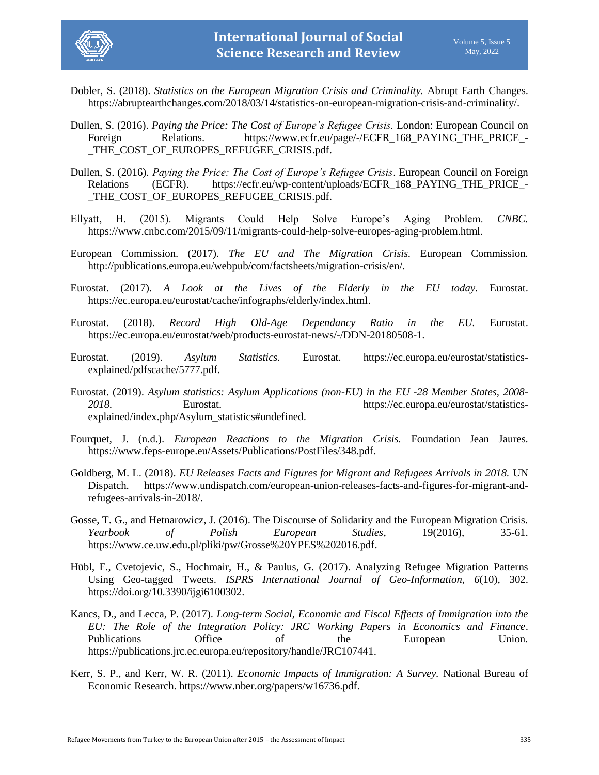

- Dobler, S. (2018). *Statistics on the European Migration Crisis and Criminality.* Abrupt Earth Changes. [https://abruptearthchanges.com/2018/03/14/statistics-on-european-migration-crisis-and-criminality/.](https://abruptearthchanges.com/2018/03/14/statistics-on-european-migration-crisis-and-criminality/)
- Dullen, S. (2016). *Paying the Price: The Cost of Europe's Refugee Crisis.* London: European Council on Foreign Relations. [https://www.ecfr.eu/page/-/ECFR\\_168\\_PAYING\\_THE\\_PRICE\\_-](https://www.ecfr.eu/page/-/ECFR_168_PAYING_THE_PRICE_-_THE_COST_OF_EUROPES_REFUGEE_CRISIS.pdf) [\\_THE\\_COST\\_OF\\_EUROPES\\_REFUGEE\\_CRISIS.pdf.](https://www.ecfr.eu/page/-/ECFR_168_PAYING_THE_PRICE_-_THE_COST_OF_EUROPES_REFUGEE_CRISIS.pdf)
- Dullen, S. (2016). *Paying the Price: The Cost of Europe's Refugee Crisis*. European Council on Foreign Relations (ECFR). [https://ecfr.eu/wp-content/uploads/ECFR\\_168\\_PAYING\\_THE\\_PRICE\\_-](https://ecfr.eu/wp-content/uploads/ECFR_168_PAYING_THE_PRICE_-_THE_COST_OF_EUROPES_REFUGEE_CRISIS.pdf) [\\_THE\\_COST\\_OF\\_EUROPES\\_REFUGEE\\_CRISIS.pdf.](https://ecfr.eu/wp-content/uploads/ECFR_168_PAYING_THE_PRICE_-_THE_COST_OF_EUROPES_REFUGEE_CRISIS.pdf)
- Ellyatt, H. (2015). Migrants Could Help Solve Europe's Aging Problem. *CNBC.*  [https://www.cnbc.com/2015/09/11/migrants-could-help-solve-europes-aging-problem.html.](https://www.cnbc.com/2015/09/11/migrants-could-help-solve-europes-aging-problem.html)
- European Commission. (2017). *The EU and The Migration Crisis.* European Commission*.* [http://publications.europa.eu/webpub/com/factsheets/migration-crisis/en/.](http://publications.europa.eu/webpub/com/factsheets/migration-crisis/en/)
- Eurostat. (2017). *A Look at the Lives of the Elderly in the EU today.* Eurostat. [https://ec.europa.eu/eurostat/cache/infographs/elderly/index.html.](https://ec.europa.eu/eurostat/cache/infographs/elderly/index.html)
- Eurostat. (2018). *Record High Old-Age Dependancy Ratio in the EU.* Eurostat. [https://ec.europa.eu/eurostat/web/products-eurostat-news/-/DDN-20180508-1.](https://ec.europa.eu/eurostat/web/products-eurostat-news/-/DDN-20180508-1)
- Eurostat. (2019). *Asylum Statistics.* Eurostat. [https://ec.europa.eu/eurostat/statistics](https://ec.europa.eu/eurostat/statistics-explained/pdfscache/5777.pdf)[explained/pdfscache/5777.pdf.](https://ec.europa.eu/eurostat/statistics-explained/pdfscache/5777.pdf)
- Eurostat. (2019). *Asylum statistics: Asylum Applications (non-EU) in the EU -28 Member States, 2008- 2018.* Eurostat. [https://ec.europa.eu/eurostat/statistics](https://ec.europa.eu/eurostat/statistics-explained/index.php/Asylum_statistics#undefined)[explained/index.php/Asylum\\_statistics#undefined.](https://ec.europa.eu/eurostat/statistics-explained/index.php/Asylum_statistics#undefined)
- Fourquet, J. (n.d.). *European Reactions to the Migration Crisis.* Foundation Jean Jaures. [https://www.feps-europe.eu/Assets/Publications/PostFiles/348.pdf.](https://www.feps-europe.eu/Assets/Publications/PostFiles/348.pdf)
- Goldberg, M. L. (2018). *EU Releases Facts and Figures for Migrant and Refugees Arrivals in 2018.* UN Dispatch. [https://www.undispatch.com/european-union-releases-facts-and-figures-for-migrant-and](https://www.undispatch.com/european-union-releases-facts-and-figures-for-migrant-and-refugees-arrivals-in-2018/)[refugees-arrivals-in-2018/.](https://www.undispatch.com/european-union-releases-facts-and-figures-for-migrant-and-refugees-arrivals-in-2018/)
- Gosse, T. G., and Hetnarowicz, J. (2016). The Discourse of Solidarity and the European Migration Crisis. *Yearbook of Polish European Studies*, 19(2016), 35-61. [https://www.ce.uw.edu.pl/pliki/pw/Grosse%20YPES%202016.pdf.](https://www.ce.uw.edu.pl/pliki/pw/Grosse%20YPES%202016.pdf)
- Hübl, F., Cvetojevic, S., Hochmair, H., & Paulus, G. (2017). Analyzing Refugee Migration Patterns Using Geo-tagged Tweets. *ISPRS International Journal of Geo-Information*, *6*(10), 302. [https://doi.org/10.3390/ijgi6100302.](https://doi.org/10.3390/ijgi6100302)
- Kancs, D., and Lecca, P. (2017). *Long-term Social, Economic and Fiscal Effects of Immigration into the EU: The Role of the Integration Policy: JRC Working Papers in Economics and Finance*. Publications Office of the European Union. [https://publications.jrc.ec.europa.eu/repository/handle/JRC107441.](https://publications.jrc.ec.europa.eu/repository/handle/JRC107441)
- Kerr, S. P., and Kerr, W. R. (2011). *Economic Impacts of Immigration: A Survey.* National Bureau of Economic Research. [https://www.nber.org/papers/w16736.pdf.](https://www.nber.org/papers/w16736.pdf)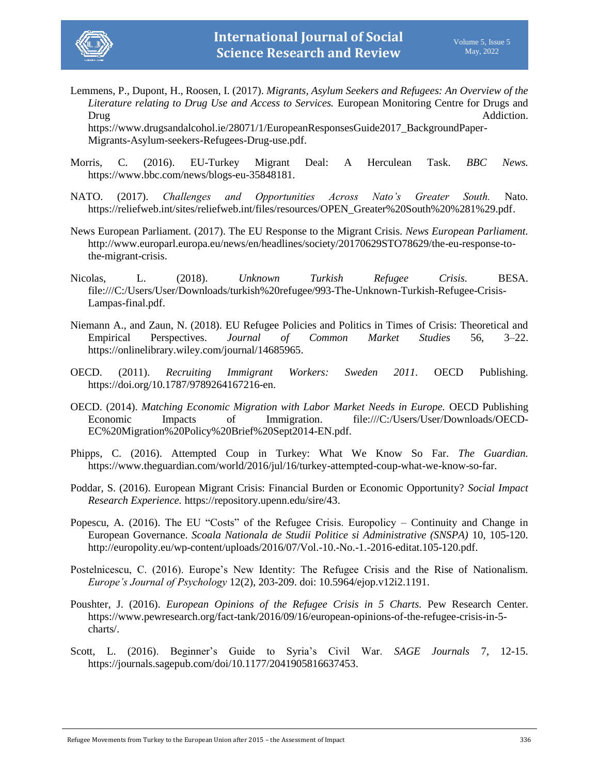

Lemmens, P., Dupont, H., Roosen, I. (2017). *Migrants, Asylum Seekers and Refugees: An Overview of the Literature relating to Drug Use and Access to Services.* European Monitoring Centre for Drugs and Drug Addiction.

[https://www.drugsandalcohol.ie/28071/1/EuropeanResponsesGuide2017\\_BackgroundPaper-](https://www.drugsandalcohol.ie/28071/1/EuropeanResponsesGuide2017_BackgroundPaper-Migrants-Asylum-seekers-Refugees-Drug-use.pdf)[Migrants-Asylum-seekers-Refugees-Drug-use.pdf.](https://www.drugsandalcohol.ie/28071/1/EuropeanResponsesGuide2017_BackgroundPaper-Migrants-Asylum-seekers-Refugees-Drug-use.pdf)

- Morris, C. (2016). EU-Turkey Migrant Deal: A Herculean Task. *BBC News.*  [https://www.bbc.com/news/blogs-eu-35848181.](https://www.bbc.com/news/blogs-eu-35848181)
- NATO. (2017). *Challenges and Opportunities Across Nato's Greater South.* Nato*.* [https://reliefweb.int/sites/reliefweb.int/files/resources/OPEN\\_Greater%20South%20%281%29.pdf.](https://reliefweb.int/sites/reliefweb.int/files/resources/OPEN_Greater%20South%20%281%29.pdf)
- News European Parliament. (2017). The EU Response to the Migrant Crisis. *News European Parliament.* [http://www.europarl.europa.eu/news/en/headlines/society/20170629STO78629/the-eu-response-to](http://www.europarl.europa.eu/news/en/headlines/society/20170629STO78629/the-eu-response-to-the-migrant-crisis)[the-migrant-crisis.](http://www.europarl.europa.eu/news/en/headlines/society/20170629STO78629/the-eu-response-to-the-migrant-crisis)
- Nicolas, L. (2018). *Unknown Turkish Refugee Crisis.* BESA. [file:///C:/Users/User/Downloads/turkish%20refugee/993-The-Unknown-Turkish-Refugee-Crisis-](file:///C:/Users/User/Downloads/turkish%20refugee/993-The-Unknown-Turkish-Refugee-Crisis-Lampas-final.pdf)[Lampas-final.pdf.](file:///C:/Users/User/Downloads/turkish%20refugee/993-The-Unknown-Turkish-Refugee-Crisis-Lampas-final.pdf)
- Niemann A., and Zaun, N. (2018). EU Refugee Policies and Politics in Times of Crisis: Theoretical and Empirical Perspectives. *Journal of Common Market Studies* 56, 3–22. [https://onlinelibrary.wiley.com/journal/14685965.](https://onlinelibrary.wiley.com/journal/14685965)
- OECD. (2011). *Recruiting Immigrant Workers: Sweden 2011.* OECD Publishing. [https://doi.org/10.1787/9789264167216-en.](https://doi.org/10.1787/9789264167216-en)
- OECD. (2014). *Matching Economic Migration with Labor Market Needs in Europe.* OECD Publishing Economic Impacts of Immigration. [file:///C:/Users/User/Downloads/OECD-](file:///C:/Users/User/Downloads/OECD-EC%20Migration%20Policy%20Brief%20Sept2014-EN.pdf)[EC%20Migration%20Policy%20Brief%20Sept2014-EN.pdf.](file:///C:/Users/User/Downloads/OECD-EC%20Migration%20Policy%20Brief%20Sept2014-EN.pdf)
- Phipps, C. (2016). Attempted Coup in Turkey: What We Know So Far. *The Guardian.* [https://www.theguardian.com/world/2016/jul/16/turkey-attempted-coup-what-we-know-so-far.](https://www.theguardian.com/world/2016/jul/16/turkey-attempted-coup-what-we-know-so-far)
- Poddar, S. (2016). European Migrant Crisis: Financial Burden or Economic Opportunity? *Social Impact Research Experience.* [https://repository.upenn.edu/sire/43.](https://repository.upenn.edu/sire/43)
- Popescu, A. (2016). The EU "Costs" of the Refugee Crisis. Europolicy Continuity and Change in European Governance. *Scoala Nationala de Studii Politice si Administrative (SNSPA)* 10, 105-120. [http://europolity.eu/wp-content/uploads/2016/07/Vol.-10.-No.-1.-2016-editat.105-120.pdf.](http://europolity.eu/wp-content/uploads/2016/07/Vol.-10.-No.-1.-2016-editat.105-120.pdf)
- Postelnicescu, C. (2016). Europe's New Identity: The Refugee Crisis and the Rise of Nationalism. *Europe's Journal of Psychology* 12(2), 203-209. doi: [10.5964/ejop.v12i2.1191.](https://dx.doi.org/10.5964%2Fejop.v12i2.1191)
- Poushter, J. (2016). *European Opinions of the Refugee Crisis in 5 Charts.* Pew Research Center. [https://www.pewresearch.org/fact-tank/2016/09/16/european-opinions-of-the-refugee-crisis-in-5](https://www.pewresearch.org/fact-tank/2016/09/16/european-opinions-of-the-refugee-crisis-in-5-charts/) [charts/.](https://www.pewresearch.org/fact-tank/2016/09/16/european-opinions-of-the-refugee-crisis-in-5-charts/)
- Scott, L. (2016). Beginner's Guide to Syria's Civil War. *SAGE Journals* 7, 12-15. [https://journals.sagepub.com/doi/10.1177/2041905816637453.](https://journals.sagepub.com/doi/10.1177/2041905816637453)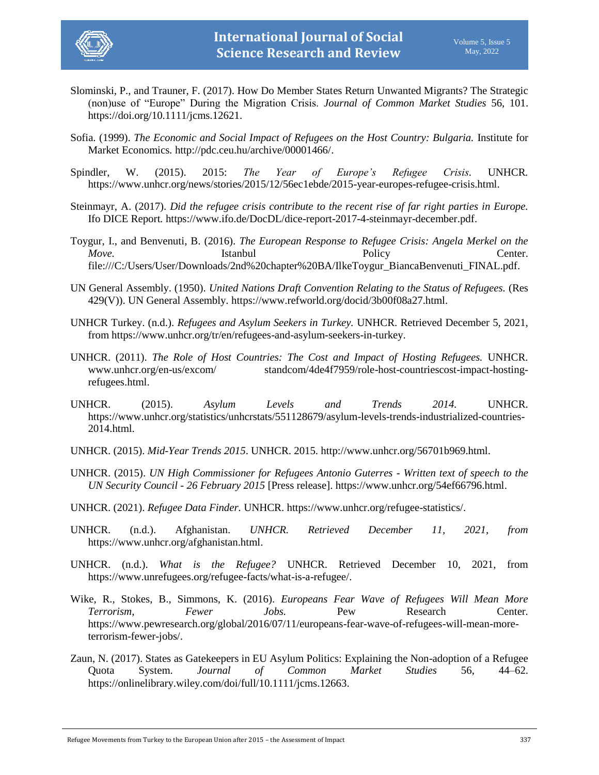

- Slominski, P., and Trauner, F. (2017). How Do Member States Return Unwanted Migrants? The Strategic (non)use of "Europe" During the Migration Crisis. *Journal of Common Market Studies* 56, 101. [https://doi.org/10.1111/jcms.12621.](https://doi.org/10.1111/jcms.12621)
- Sofia. (1999). *The Economic and Social Impact of Refugees on the Host Country: Bulgaria.* Institute for Market Economics*.* [http://pdc.ceu.hu/archive/00001466/.](http://pdc.ceu.hu/archive/00001466/)
- Spindler, W. (2015). 2015: *The Year of Europe's Refugee Crisis.* UNHCR*.* [https://www.unhcr.org/news/stories/2015/12/56ec1ebde/2015-year-europes-refugee-crisis.html.](https://www.unhcr.org/news/stories/2015/12/56ec1ebde/2015-year-europes-refugee-crisis.html)
- Steinmayr, A. (2017). *Did the refugee crisis contribute to the recent rise of far right parties in Europe.* Ifo DICE Report*.* [https://www.ifo.de/DocDL/dice-report-2017-4-steinmayr-december.pdf.](https://www.ifo.de/DocDL/dice-report-2017-4-steinmayr-december.pdf)
- Toygur, I., and Benvenuti, B. (2016). *The European Response to Refugee Crisis: Angela Merkel on the Move.* Istanbul Istanbul Policy Center. [file:///C:/Users/User/Downloads/2nd%20chapter%20BA/IlkeToygur\\_BiancaBenvenuti\\_FINAL.pdf.](file:///C:/Users/User/Downloads/2nd%20chapter%20BA/IlkeToygur_BiancaBenvenuti_FINAL.pdf)
- UN General Assembly. (1950). *United Nations Draft Convention Relating to the Status of Refugees.* (Res 429(V)). UN General Assembly. [https://www.refworld.org/docid/3b00f08a27.html.](https://www.refworld.org/docid/3b00f08a27.html)
- UNHCR Turkey. (n.d.). *Refugees and Asylum Seekers in Turkey.* UNHCR. Retrieved December 5, 2021, from [https://www.unhcr.org/tr/en/refugees-and-asylum-seekers-in-turkey.](https://www.unhcr.org/tr/en/refugees-and-asylum-seekers-in-turkey)
- UNHCR. (2011). *The Role of Host Countries: The Cost and Impact of Hosting Refugees.* UNHCR. www.unhcr.org/en-us/excom/ standcom/4de4f7959/role-host-countriescost-impact-hostingrefugees.html.
- UNHCR. (2015). *Asylum Levels and Trends 2014.* UNHCR. [https://www.unhcr.org/statistics/unhcrstats/551128679/asylum-levels-trends-industrialized-countries-](https://www.unhcr.org/statistics/unhcrstats/551128679/asylum-levels-trends-industrialized-countries-2014.html)[2014.html.](https://www.unhcr.org/statistics/unhcrstats/551128679/asylum-levels-trends-industrialized-countries-2014.html)
- UNHCR. (2015). *Mid-Year Trends 2015*. UNHCR. 2015. [http://www.unhcr.org/56701b969.html.](http://www.unhcr.org/56701b969.html)
- UNHCR. (2015). *UN High Commissioner for Refugees Antonio Guterres - Written text of speech to the UN Security Council - 26 February 2015* [Press release]. [https://www.unhcr.org/54ef66796.html.](https://www.unhcr.org/54ef66796.html)
- UNHCR. (2021). *Refugee Data Finder.* UNHCR. [https://www.unhcr.org/refugee-statistics/.](https://www.unhcr.org/refugee-statistics/)
- UNHCR. (n.d.). Afghanistan. *UNHCR. Retrieved December 11, 2021, from*  [https://www.unhcr.org/afghanistan.html.](https://www.unhcr.org/afghanistan.html)
- UNHCR. (n.d.). *What is the Refugee?* UNHCR. Retrieved December 10, 2021, from [https://www.unrefugees.org/refugee-facts/what-is-a-refugee/.](https://www.unrefugees.org/refugee-facts/what-is-a-refugee/)
- Wike, R., Stokes, B., Simmons, K. (2016). *Europeans Fear Wave of Refugees Will Mean More Terrorism, Fewer Jobs.* Pew Research Center. [https://www.pewresearch.org/global/2016/07/11/europeans-fear-wave-of-refugees-will-mean-more](https://www.pewresearch.org/global/2016/07/11/europeans-fear-wave-of-refugees-will-mean-more-terrorism-fewer-jobs/)[terrorism-fewer-jobs/.](https://www.pewresearch.org/global/2016/07/11/europeans-fear-wave-of-refugees-will-mean-more-terrorism-fewer-jobs/)
- Zaun, N. (2017). States as Gatekeepers in EU Asylum Politics: Explaining the Non-adoption of a Refugee Quota System. *Journal of Common Market Studies* 56, 44–62. [https://onlinelibrary.wiley.com/doi/full/10.1111/jcms.12663.](https://onlinelibrary.wiley.com/doi/full/10.1111/jcms.12663)